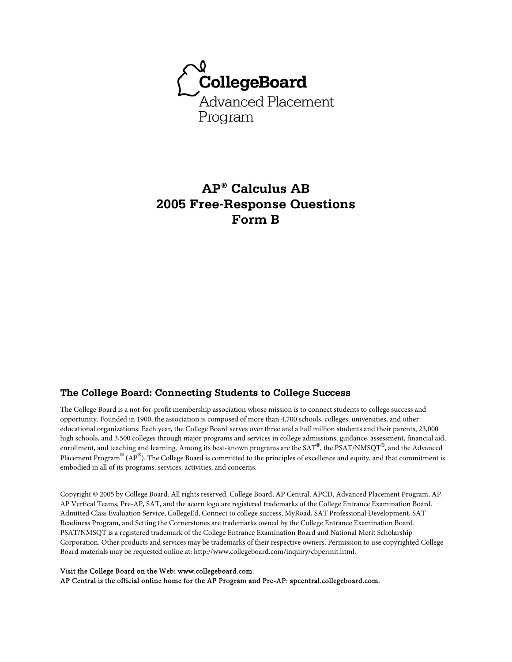

# **AP® Calculus AB 2005 Free-Response Questions Form B**

### **The College Board: Connecting Students to College Success**

The College Board is a not-for-profit membership association whose mission is to connect students to college success and opportunity. Founded in 1900, the association is composed of more than 4,700 schools, colleges, universities, and other educational organizations. Each year, the College Board serves over three and a half million students and their parents, 23,000 high schools, and 3,500 colleges through major programs and services in college admissions, guidance, assessment, financial aid, enrollment, and teaching and learning. Among its best-known programs are the SAT®, the PSAT/NMSQT®, and the Advanced Placement Program® (AP®). The College Board is committed to the principles of excellence and equity, and that commitment is embodied in all of its programs, services, activities, and concerns.

Copyright © 2005 by College Board. All rights reserved. College Board, AP Central, APCD, Advanced Placement Program, AP, AP Vertical Teams, Pre-AP, SAT, and the acorn logo are registered trademarks of the College Entrance Examination Board. Admitted Class Evaluation Service, CollegeEd, Connect to college success, MyRoad, SAT Professional Development, SAT Readiness Program, and Setting the Cornerstones are trademarks owned by the College Entrance Examination Board. PSAT/NMSQT is a registered trademark of the College Entrance Examination Board and National Merit Scholarship Corporation. Other products and services may be trademarks of their respective owners. Permission to use copyrighted College Board materials may be requested online at: http://www.collegeboard.com/inquiry/cbpermit.html.

#### Visit the College Board on the Web: www.collegeboard.com.

AP Central is the official online home for the AP Program and Pre-AP: apcentral.collegeboard.com.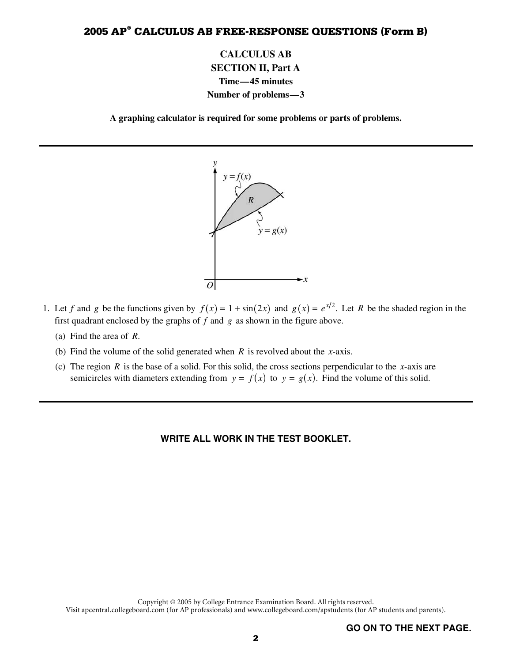**CALCULUS AB SECTION II, Part A Time—45 minutes Number of problems—3** 

**A graphing calculator is required for some problems or parts of problems.** 



- 1. Let *f* and *g* be the functions given by  $f(x) = 1 + \sin(2x)$  and  $g(x) = e^{x/2}$ . Let *R* be the shaded region in the first quadrant enclosed by the graphs of *f* and *g* as shown in the figure above. first quadrant enclosed by the graphs of *f* and *g* as shown in the figure above.
	- (a) Find the area of *R*.
	- (b) Find the volume of the solid generated when *R* is revolved about the *x*-axis.
	- (c) The region *R* is the base of a solid. For this solid, the cross sections perpendicular to the *x*-axis are semicircles with diameters extending from  $y = f(x)$  to  $y = g(x)$ . Find the volume of this solid.

### **WRITE ALL WORK IN THE TEST BOOKLET.**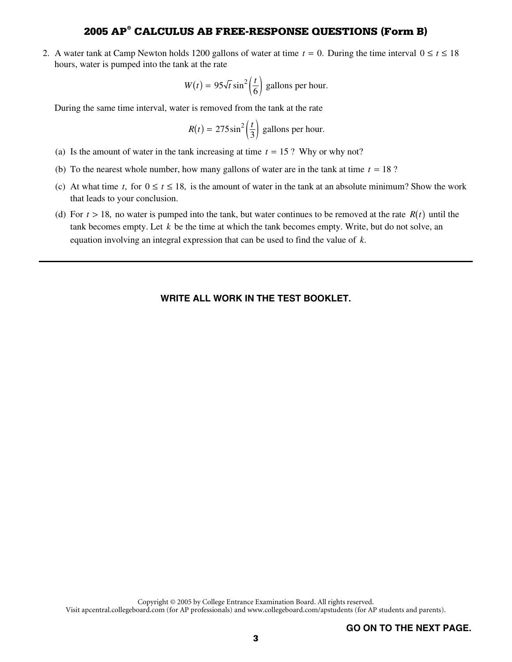2. A water tank at Camp Newton holds 1200 gallons of water at time  $t = 0$ . During the time interval  $0 \le t \le 18$  hours, water is pumped into the tank at the rate hours, water is pumped into the tank at the rate

$$
W(t) = 95\sqrt{t} \sin^2\left(\frac{t}{6}\right)
$$
 gallons per hour.  
During the same time interval, water is removed from the tank at the rate

$$
R(t) = 275 \sin^2\left(\frac{t}{3}\right)
$$
 gallons per hour.

- $R(t) = 275 \sin^2 \left(\frac{t}{3}\right)$  gallons per hour.<br>(a) Is the amount of water in the tank increasing at time  $t = 15$ ? Why or why not?<br>(b) To the negrect whole number how many callons of water are in the tank at time
- (b) To the nearest whole number, how many gallons of water are in the tank at time  $t = 18$  ?<br>(c) At what time  $t$  for  $0 \le t \le 18$  is the empount of water in the tank at an absolute minimum
- (c) At what time *t*, for  $0 \le t \le 18$ , is the amount of water in the tank at an absolute minimum? Show the work that leads to your conclusion.
- (d) For  $t > 18$ , no water is pumped into the tank, but water continues to be removed at the rate  $R(t)$  until the tank becomes empty. Let *k* be the time at which the tank becomes empty. Write, but do not solve, an equation involving an integral expression that can be used to find the value of *k*.

#### **WRITE ALL WORK IN THE TEST BOOKLET.**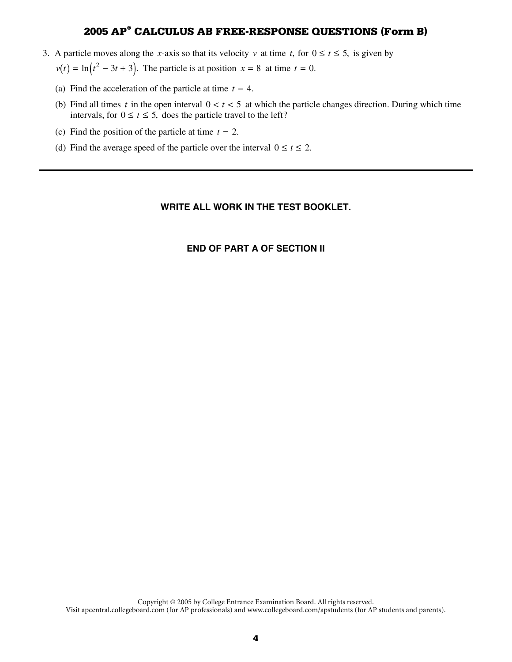- 3. A particle moves along the *x*-axis so that its velocity *v* at time *t*, for  $0 \le t \le 5$ , is given by
	- $v(t) = \ln(t^2 3t + 3)$ . The particle is at position  $x = 8$  at time  $t = 0$ .
	- (a) Find the acceleration of the particle at time  $t = 4$ .<br>(b) Find all times *t* in the open interval  $0 < t < 5$  at
	- (b) Find all times *t* in the open interval  $0 < t < 5$  at which the particle changes direction. During which time intervals, for  $0 \le t \le 5$ , does the particle travel to the left?
	- (c) Find the position of the particle at time  $t = 2$ .<br>(d) Find the average speed of the particle over the
	- (d) Find the average speed of the particle over the interval  $0 \le t \le 2$ .

### **WRITE ALL WORK IN THE TEST BOOKLET.**

### **END OF PART A OF SECTION II**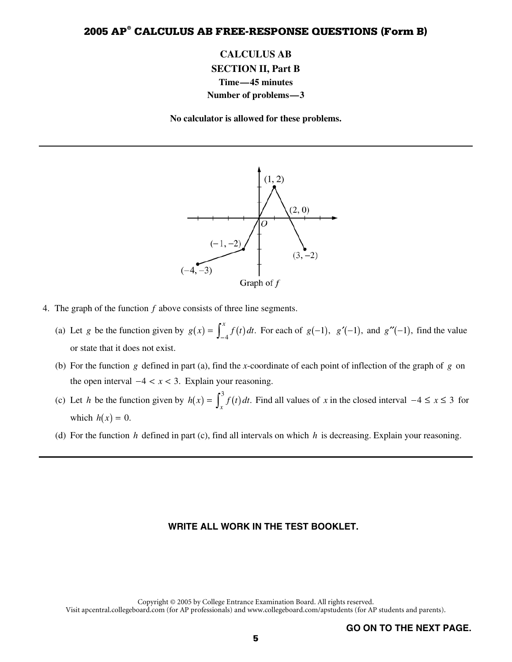# **CALCULUS AB SECTION II, Part B Time—45 minutes Number of problems—3**

**No calculator is allowed for these problems.** 



- 4. The graph of the function *f* above consists of three line segments.
	- (a) Let *g* be the function given by  $g(x) = \int_{-4}^{x} f(t) dt$ . For each of  $g(-1)$ ,  $g'(-1)$ , and  $g''(-1)$ , find the value<br>or state that it does not exist.<br>(b) For the function *g* defined in part (a), find the *x*-coordinate of or state that it does not exist.
	- (b) For the function *g* defined in part (a), find the *x*-coordinate of each point of inflection of the graph of *g* on the open interval  $-4 < x < 3$ . Explain your reasoning.
	- (c) Let *h* be the function given by  $h(x) = \int_x^3 f(t) dt$ . Find all values of *x* in the closed interval  $-4 \le x \le 3$  for which  $h(x) = 0$ which  $h(x) = 0$ .
	- (d) For the function  $h$  defined in part (c), find all intervals on which  $h$  is decreasing. Explain your reasoning.

#### **WRITE ALL WORK IN THE TEST BOOKLET.**

Copyright © 2005 by College Entrance Examination Board. All rights reserved. Visit apcentral.collegeboard.com (for AP professionals) and www.collegeboard.com/apstudents (for AP students and parents).